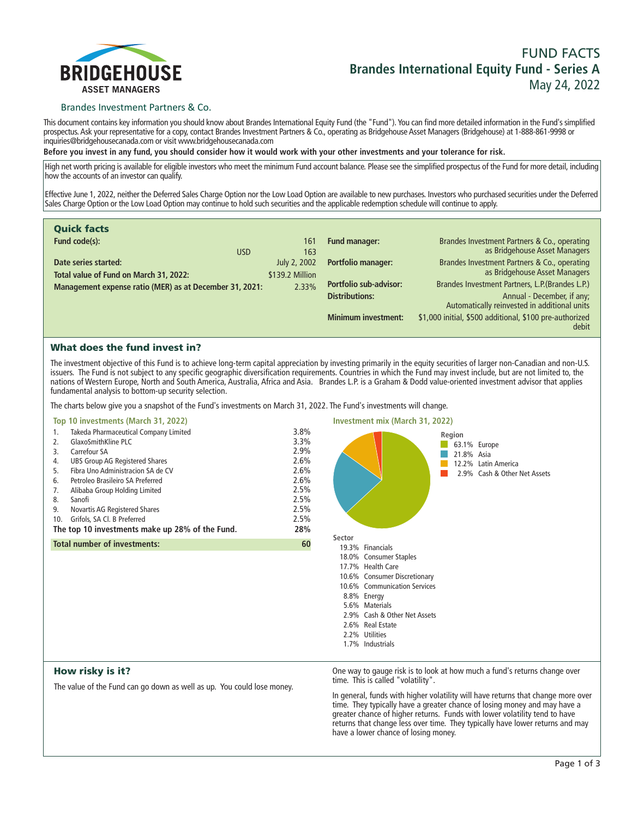

# **FUND FACTS Brandes International Equity Fund - Series A May 24, 2022**

## Brandes Investment Partners & Co.

**This document contains key information you should know about Brandes International Equity Fund (the "Fund"). You can find more detailed information in the Fund's simplified prospectus. Ask your representative for a copy, contact Brandes Investment Partners & Co., operating as Bridgehouse Asset Managers (Bridgehouse) at 1-888-861-9998 or inquiries@bridgehousecanada.com or visit www.bridgehousecanada.com**

**Before you invest in any fund, you should consider how it would work with your other investments and your tolerance for risk.**

**High net worth pricing is available for eligible investors who meet the minimum Fund account balance. Please see the simplified prospectus of the Fund for more detail, including how the accounts of an investor can qualify.**

**Effective June 1, 2022, neither the Deferred Sales Charge Option nor the Low Load Option are available to new purchases. Investors who purchased securities under the Deferred Sales Charge Option or the Low Load Option may continue to hold such securities and the applicable redemption schedule will continue to apply.**

| <b>Quick facts</b>                                                                                |                          |                               |                                                                                   |
|---------------------------------------------------------------------------------------------------|--------------------------|-------------------------------|-----------------------------------------------------------------------------------|
| Fund code(s):<br><b>USD</b>                                                                       | 161<br>163               | <b>Fund manager:</b>          | Brandes Investment Partners & Co., operating<br>as Bridgehouse Asset Managers     |
| Date series started:                                                                              | July 2, 2002             | <b>Portfolio manager:</b>     | Brandes Investment Partners & Co., operating                                      |
| Total value of Fund on March 31, 2022:<br>Management expense ratio (MER) as at December 31, 2021: | \$139.2 Million<br>2.33% | <b>Portfolio sub-advisor:</b> | as Bridgehouse Asset Managers<br>Brandes Investment Partners, L.P. (Brandes L.P.) |
|                                                                                                   |                          | <b>Distributions:</b>         | Annual - December, if any;<br>Automatically reinvested in additional units        |
|                                                                                                   |                          | <b>Minimum investment:</b>    | \$1,000 initial, \$500 additional, \$100 pre-authorized<br>debit                  |

# What does the fund invest in?

**The investment objective of this Fund is to achieve long-term capital appreciation by investing primarily in the equity securities of larger non-Canadian and non-U.S. issuers. The Fund is not subject to any specific geographic diversification requirements. Countries in which the Fund may invest include, but are not limited to, the nations of Western Europe, North and South America, Australia, Africa and Asia. Brandes L.P. is a Graham & Dodd value-oriented investment advisor that applies fundamental analysis to bottom-up security selection.**

**The charts below give you a snapshot of the Fund's investments on March 31, 2022. The Fund's investments will change.**

#### **Top 10 investments (March 31, 2022)**

|     | Top 10 investments (March 31, 2022)             |      | <b>Investment mix (March 31, 2022)</b> |     |
|-----|-------------------------------------------------|------|----------------------------------------|-----|
| 1.  | Takeda Pharmaceutical Company Limited           | 3.8% |                                        | Reg |
|     | GlaxoSmithKline PLC                             | 3.3% |                                        |     |
| 3.  | Carrefour SA                                    | 2.9% |                                        |     |
| 4.  | <b>UBS Group AG Registered Shares</b>           | 2.6% |                                        |     |
| 5.  | Fibra Uno Administracion SA de CV               | 2.6% |                                        |     |
| 6.  | Petroleo Brasileiro SA Preferred                | 2.6% |                                        |     |
| 7.  | Alibaba Group Holding Limited                   | 2.5% |                                        |     |
| 8.  | Sanofi                                          | 2.5% |                                        |     |
| 9.  | Novartis AG Registered Shares                   | 2.5% |                                        |     |
| 10. | Grifols, SA Cl. B Preferred                     | 2.5% |                                        |     |
|     | The top 10 investments make up 28% of the Fund. | 28%  |                                        |     |
|     | <b>Total number of investments:</b>             | 60   | Sector<br>19.3% Financials             |     |
|     |                                                 |      | 18.0% Consumer Staples                 |     |

**Region 63.1% Europe 21.8% Asia 12.2% Latin America 2.9% Cash & Other Net Assets 18.0% Consumer Staples 17.7% Health Care 10.6% Consumer Discretionary 10.6% Communication Services 8.8% Energy 5.6% Materials 2.9% Cash & Other Net Assets 2.6% Real Estate**

### **2.2% Utilities**

**1.7% Industrials**

# How risky is it?

**The value of the Fund can go down as well as up. You could lose money.**

**One way to gauge risk is to look at how much a fund's returns change over time. This is called "volatility".**

**In general, funds with higher volatility will have returns that change more over time. They typically have a greater chance of losing money and may have a greater chance of higher returns. Funds with lower volatility tend to have returns that change less over time. They typically have lower returns and may have a lower chance of losing money.**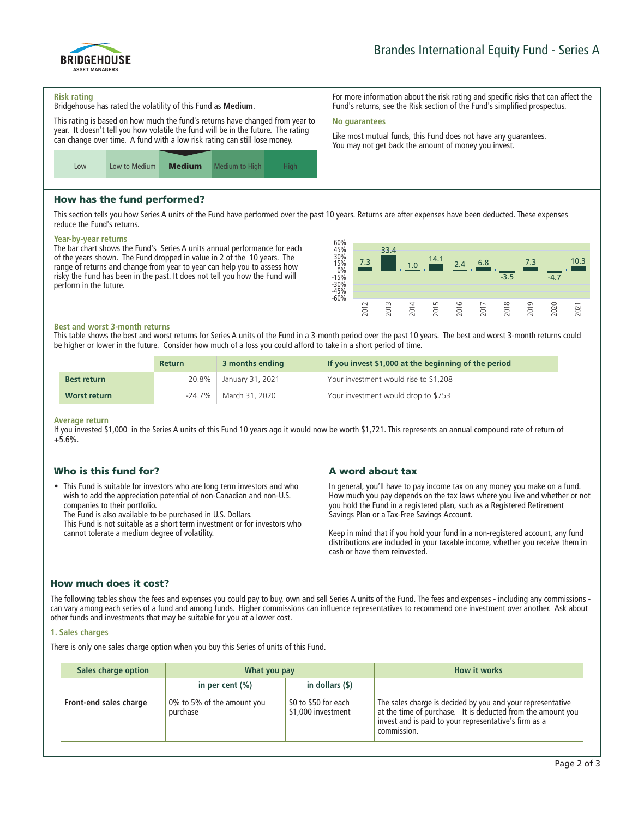

**For more information about the risk rating and specific risks that can affect the Fund's returns, see the Risk section of the Fund's simplified prospectus.**

**Like most mutual funds, this Fund does not have any guarantees. You may not get back the amount of money you invest.**

#### **Risk rating**

**Bridgehouse has rated the volatility of this Fund as Medium.**

**This rating is based on how much the fund's returns have changed from year to year. It doesn't tell you how volatile the fund will be in the future. The rating can change over time. A fund with a low risk rating can still lose money.**



# How has the fund performed?

**This section tells you how Series A units of the Fund have performed over the past 10 years. Returns are after expenses have been deducted. These expenses reduce the Fund's returns.**

**No guarantees**

#### **Year-by-year returns**

**The bar chart shows the Fund's Series A units annual performance for each of the years shown. The Fund dropped in value in 2 of the 10 years. The range of returns and change from year to year can help you to assess how risky the Fund has been in the past. It does not tell you how the Fund will perform in the future.**



#### **Best and worst 3-month returns**

**This table shows the best and worst returns for Series A units of the Fund in a 3-month period over the past 10 years. The best and worst 3-month returns could be higher or lower in the future. Consider how much of a loss you could afford to take in a short period of time.**

|                    | <b>Return</b> | 3 months ending  | If you invest \$1,000 at the beginning of the period |
|--------------------|---------------|------------------|------------------------------------------------------|
| <b>Best return</b> | 20.8%         | January 31, 2021 | Your investment would rise to \$1,208                |
| Worst return       | -24.7%        | March 31, 2020   | Your investment would drop to \$753                  |

#### **Average return**

**If you invested \$1,000 in the Series A units of this Fund 10 years ago it would now be worth \$1,721. This represents an annual compound rate of return of +5.6%.**

| Who is this fund for?<br>A word about tax<br>• This Fund is suitable for investors who are long term investors and who<br>In general, you'll have to pay income tax on any money you make on a fund.<br>wish to add the appreciation potential of non-Canadian and non-U.S.<br>you hold the Fund in a registered plan, such as a Registered Retirement<br>companies to their portfolio.<br>The Fund is also available to be purchased in U.S. Dollars.<br>Savings Plan or a Tax-Free Savings Account. |                                                                           |                                                                            |
|-------------------------------------------------------------------------------------------------------------------------------------------------------------------------------------------------------------------------------------------------------------------------------------------------------------------------------------------------------------------------------------------------------------------------------------------------------------------------------------------------------|---------------------------------------------------------------------------|----------------------------------------------------------------------------|
|                                                                                                                                                                                                                                                                                                                                                                                                                                                                                                       |                                                                           |                                                                            |
| Keep in mind that if you hold your fund in a non-registered account, any fund<br>cannot tolerate a medium degree of volatility.<br>distributions are included in your taxable income, whether you receive them in<br>cash or have them reinvested.                                                                                                                                                                                                                                                    | This Fund is not suitable as a short term investment or for investors who | How much you pay depends on the tax laws where you live and whether or not |

# How much does it cost?

**The following tables show the fees and expenses you could pay to buy, own and sell Series A units of the Fund. The fees and expenses - including any commissions can vary among each series of a fund and among funds. Higher commissions can influence representatives to recommend one investment over another. Ask about other funds and investments that may be suitable for you at a lower cost.**

#### **1. Sales charges**

**There is only one sales charge option when you buy this Series of units of this Fund.**

| Sales charge option    | What you pay                           |                                            | <b>How it works</b>                                                                                                                                                                               |
|------------------------|----------------------------------------|--------------------------------------------|---------------------------------------------------------------------------------------------------------------------------------------------------------------------------------------------------|
|                        | in per cent $(\% )$                    | in dollars $($ \$ $)$                      |                                                                                                                                                                                                   |
| Front-end sales charge | 0% to 5% of the amount you<br>purchase | \$0 to \$50 for each<br>\$1,000 investment | The sales charge is decided by you and your representative<br>at the time of purchase. It is deducted from the amount you<br>invest and is paid to your representative's firm as a<br>commission. |